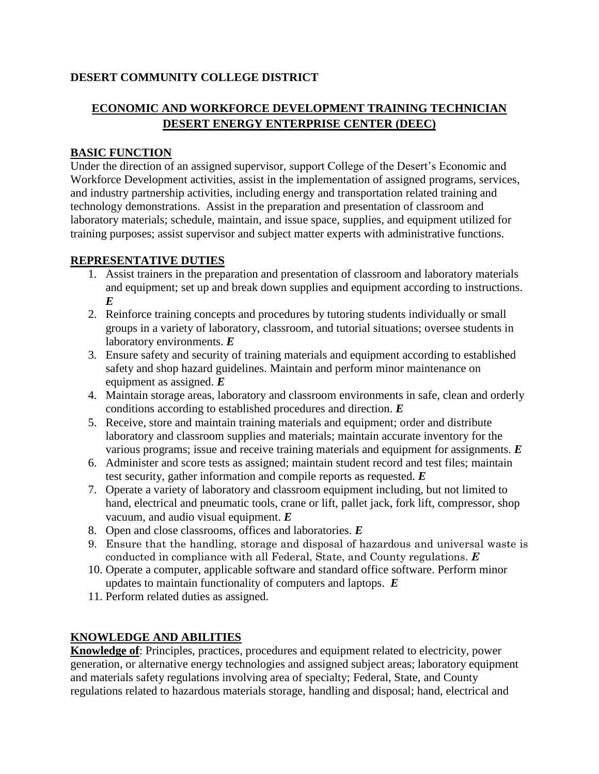## **DESERT COMMUNITY COLLEGE DISTRICT**

# **ECONOMIC AND WORKFORCE DEVELOPMENT TRAINING TECHNICIAN DESERT ENERGY ENTERPRISE CENTER (DEEC)**

#### **BASIC FUNCTION**

Under the direction of an assigned supervisor, support College of the Desert's Economic and Workforce Development activities, assist in the implementation of assigned programs, services, and industry partnership activities, including energy and transportation related training and technology demonstrations. Assist in the preparation and presentation of classroom and laboratory materials; schedule, maintain, and issue space, supplies, and equipment utilized for training purposes; assist supervisor and subject matter experts with administrative functions.

#### **REPRESENTATIVE DUTIES**

- 1. Assist trainers in the preparation and presentation of classroom and laboratory materials and equipment; set up and break down supplies and equipment according to instructions. *E*
- 2. Reinforce training concepts and procedures by tutoring students individually or small groups in a variety of laboratory, classroom, and tutorial situations; oversee students in laboratory environments. *E*
- 3. Ensure safety and security of training materials and equipment according to established safety and shop hazard guidelines. Maintain and perform minor maintenance on equipment as assigned. *E*
- 4. Maintain storage areas, laboratory and classroom environments in safe, clean and orderly conditions according to established procedures and direction. *E*
- 5. Receive, store and maintain training materials and equipment; order and distribute laboratory and classroom supplies and materials; maintain accurate inventory for the various programs; issue and receive training materials and equipment for assignments. *E*
- 6. Administer and score tests as assigned; maintain student record and test files; maintain test security, gather information and compile reports as requested. *E*
- 7. Operate a variety of laboratory and classroom equipment including, but not limited to hand, electrical and pneumatic tools, crane or lift, pallet jack, fork lift, compressor, shop vacuum, and audio visual equipment. *E*
- 8. Open and close classrooms, offices and laboratories. *E*
- 9. Ensure that the handling, storage and disposal of hazardous and universal waste is conducted in compliance with all Federal, State, and County regulations. *E*
- 10. Operate a computer, applicable software and standard office software. Perform minor updates to maintain functionality of computers and laptops. *E*
- 11. Perform related duties as assigned.

#### **KNOWLEDGE AND ABILITIES**

**Knowledge of**: Principles, practices, procedures and equipment related to electricity, power generation, or alternative energy technologies and assigned subject areas; laboratory equipment and materials safety regulations involving area of specialty; Federal, State, and County regulations related to hazardous materials storage, handling and disposal; hand, electrical and